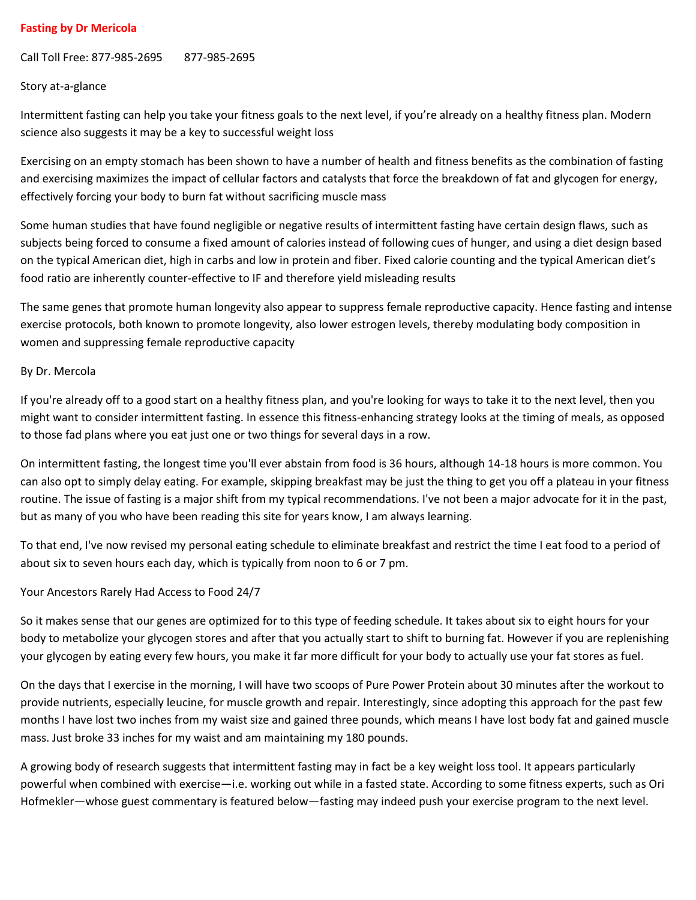### **Fasting by Dr Mericola**

Call Toll Free: 877-985-2695 877-985-2695

#### Story at-a-glance

Intermittent fasting can help you take your fitness goals to the next level, if you're already on a healthy fitness plan. Modern science also suggests it may be a key to successful weight loss

Exercising on an empty stomach has been shown to have a number of health and fitness benefits as the combination of fasting and exercising maximizes the impact of cellular factors and catalysts that force the breakdown of fat and glycogen for energy, effectively forcing your body to burn fat without sacrificing muscle mass

Some human studies that have found negligible or negative results of intermittent fasting have certain design flaws, such as subjects being forced to consume a fixed amount of calories instead of following cues of hunger, and using a diet design based on the typical American diet, high in carbs and low in protein and fiber. Fixed calorie counting and the typical American diet's food ratio are inherently counter-effective to IF and therefore yield misleading results

The same genes that promote human longevity also appear to suppress female reproductive capacity. Hence fasting and intense exercise protocols, both known to promote longevity, also lower estrogen levels, thereby modulating body composition in women and suppressing female reproductive capacity

#### By Dr. Mercola

If you're already off to a good start on a healthy fitness plan, and you're looking for ways to take it to the next level, then you might want to consider intermittent fasting. In essence this fitness-enhancing strategy looks at the timing of meals, as opposed to those fad plans where you eat just one or two things for several days in a row.

On intermittent fasting, the longest time you'll ever abstain from food is 36 hours, although 14-18 hours is more common. You can also opt to simply delay eating. For example, [skipping breakfast](http://articles.mercola.com/sites/articles/archive/2012/08/02/eating-breakfast.aspx) may be just the thing to get you off a plateau in your fitness routine. The issue of fasting is a major shift from my typical recommendations. I've not been a major advocate for it in the past, but as many of you who have been reading this site for years know, I am always learning.

To that end, I've now revised my personal eating schedule to eliminate breakfast and restrict the time I eat food to a period of about six to seven hours each day, which is typically from noon to 6 or 7 pm.

#### Your Ancestors Rarely Had Access to Food 24/7

So it makes sense that our genes are optimized for to this type of feeding schedule. It takes about six to eight hours for your body to metabolize your glycogen stores and after that you actually start to shift to burning fat. However if you are replenishing your glycogen by eating every few hours, you make it far more difficult for your body to actually use your fat stores as fuel.

On the days that I exercise in the morning, I will have two scoops of Pure Power Protein about 30 minutes after the workout to provide nutrients, especially leucine, for muscle growth and repair. Interestingly, since adopting this approach for the past few months I have lost two inches from my waist size and gained three pounds, which means I have lost body fat and gained muscle mass. Just broke 33 inches for my waist and am maintaining my 180 pounds.

A growing body of research suggests that intermittent fasting may in fact be a key weight loss tool. It appears particularly powerful when combined with exercise—i.e. working out while in a fasted state. According to some fitness experts, such as Ori Hofmekler—whose guest commentary is featured below—fasting may indeed push your exercise program to the next level.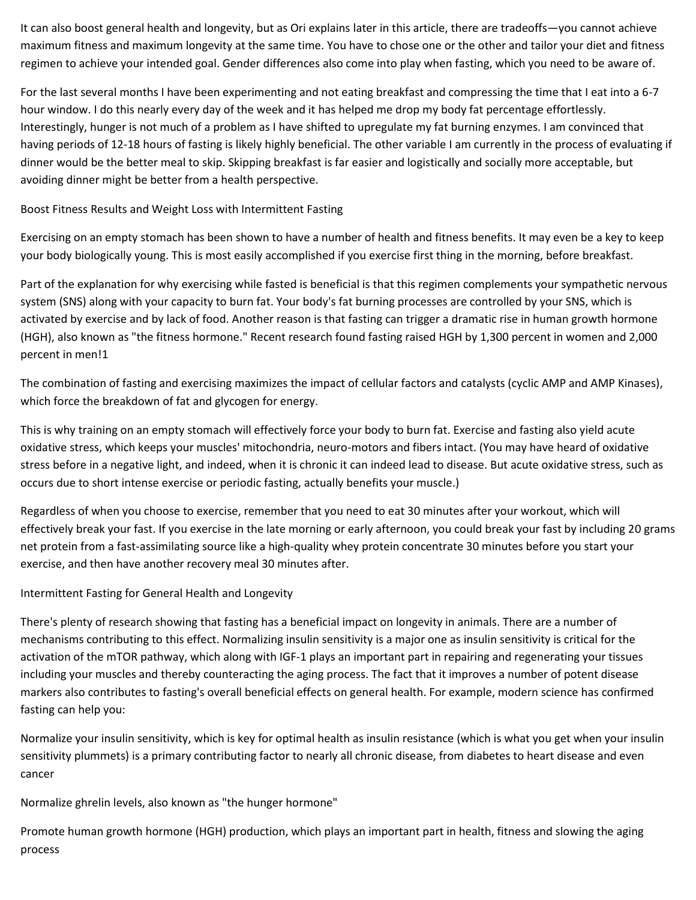It can also boost general health and longevity, but as Ori explains later in this article, there are tradeoffs—you cannot achieve maximum fitness and maximum longevity at the same time. You have to chose one or the other and tailor your diet and fitness regimen to achieve your intended goal. Gender differences also come into play when fasting, which you need to be aware of.

For the last several months I have been experimenting and not eating breakfast and compressing the time that I eat into a 6-7 hour window. I do this nearly every day of the week and it has helped me drop my body fat percentage effortlessly. Interestingly, hunger is not much of a problem as I have shifted to upregulate my fat burning enzymes. I am convinced that having periods of 12-18 hours of fasting is likely highly beneficial. The other variable I am currently in the process of evaluating if dinner would be the better meal to skip. Skipping breakfast is far easier and logistically and socially more acceptable, but avoiding dinner might be better from a health perspective.

Boost Fitness Results and Weight Loss with Intermittent Fasting

Exercising on an empty stomach has been shown to have a number of health and fitness benefits. It may even be a key to keep your bod[y biologically young.](http://articles.mercola.com/sites/articles/archive/2011/06/19/innovative-revolutionary-program-to-keep-your-body-biologically-young.aspx) This is most easily accomplished if you exercise first thing in the morning, before breakfast.

Part of the explanation for why exercising while fasted is beneficial is that this regimen complements your sympathetic nervous system (SNS) along with your capacity to burn fat. Your body's fat burning processes are controlled by your SNS, which is activated by exercise and by lack of food. Another reason is that fasting can trigger a dramatic rise in human growth hormone (HGH), also known as "the fitness hormone." Recent research found fasting raised HGH by 1,300 percent in women and 2,000 percent in men[!1](http://fitness.mercola.com/sites/fitness/archive/2012/08/24/intermittent-fasting.aspx#_edn1)

The combination of fasting and exercising maximizes the impact of cellular factors and catalysts (cyclic AMP and AMP Kinases), which force the breakdown of fat and glycogen for energy.

This is why training on an empty stomach will effectively force your body to burn fat. Exercise and fasting also yield acute oxidative stress, which keeps your muscles' mitochondria, neuro-motors and fibers intact. (You may have heard of oxidative stress before in a negative light, and indeed, when it is chronic it can indeed lead to disease. But acute oxidative stress, such as occurs due to short intense exercise or periodic fasting, actually benefits your muscle.)

Regardless of when you choose to exercise, remember that you need to eat 30 minutes after your workout, which will effectively break your fast. If you exercise in the late morning or early afternoon, you could break your fast by including 20 grams net protein from a fast-assimilating source like a high-quality whey protein concentrate 30 minutes before you start your exercise, and then have another recovery meal 30 minutes after.

Intermittent Fasting for General Health and Longevity

There's plenty of research showing that fasting has a beneficial impact on longevity in animals. There are a number of mechanisms contributing to this effect. Normalizing insulin sensitivity is a major one as insulin sensitivity is critical for the activation of the mTOR pathway, which along with IGF-1 plays an important part in repairing and regenerating your tissues including your muscles and thereby counteracting the aging process. The fact that it improves a number of potent disease markers also contributes to fasting's overall beneficial effects on general health. For example, modern science has confirmed fasting can help you:

Normalize your insulin sensitivity, which is key for optimal health as insulin resistance (which is what you get when your insulin sensitivity plummets) is a primary contributing factor to nearly all chronic disease, from diabetes to heart disease and even cancer

Normalize ghrelin levels, also known as "the hunger hormone"

Promote human growth hormone (HGH) production, which plays an important part in health, fitness and slowing the aging process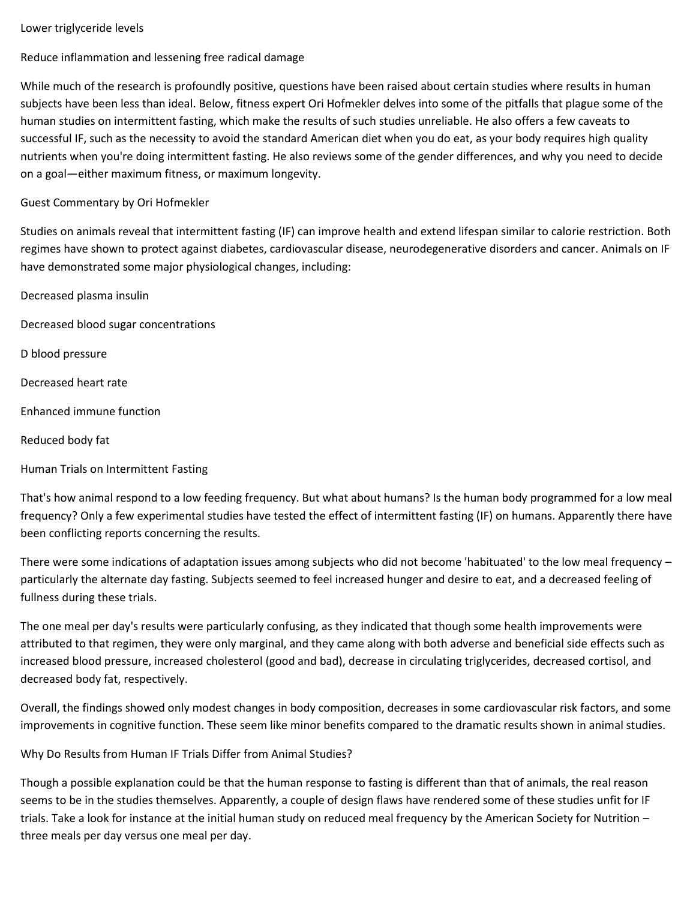## Lower triglyceride levels

Reduce inflammation and lessening free radical damage

While much of the research is profoundly positive, questions have been raised about certain studies where results in human subjects have been less than ideal. Below, fitness expert Ori Hofmekler delves into some of the pitfalls that plague some of the human studies on intermittent fasting, which make the results of such studies unreliable. He also offers a few caveats to successful IF, such as the necessity to avoid the standard American diet when you do eat, as your body requires high quality nutrients when you're doing intermittent fasting. He also reviews some of the gender differences, and why you need to decide on a goal—either maximum fitness, or maximum longevity.

## Guest Commentary by Ori Hofmekler

Studies on animals reveal that intermittent fasting (IF) can improve health and extend lifespan similar to calorie restriction. Both regimes have shown to protect against diabetes, cardiovascular disease, neurodegenerative disorders and cancer. Animals on IF have demonstrated some major physiological changes, including:

Decreased plasma insulin Decreased blood sugar concentrations

D blood pressure

Decreased heart rate

Enhanced immune function

Reduced body fat

# Human Trials on Intermittent Fasting

That's how animal respond to a low feeding frequency. But what about humans? Is the human body programmed for a low meal frequency? Only a few experimental studies have tested the effect of intermittent fasting (IF) on humans. Apparently there have been conflicting reports concerning the results.

There were some indications of adaptation issues among subjects who did not become 'habituated' to the low meal frequency – particularly the alternate day fasting. Subjects seemed to feel increased hunger and desire to eat, and a decreased feeling of fullness during these trials.

The one meal per day's results were particularly confusing, as they indicated that though some health improvements were attributed to that regimen, they were only marginal, and they came along with both adverse and beneficial side effects such as increased blood pressure, increased cholesterol (good and bad), decrease in circulating triglycerides, decreased cortisol, and decreased body fat, respectively.

Overall, the findings showed only modest changes in body composition, decreases in some cardiovascular risk factors, and some improvements in cognitive function. These seem like minor benefits compared to the dramatic results shown in animal studies.

# Why Do Results from Human IF Trials Differ from Animal Studies?

Though a possible explanation could be that the human response to fasting is different than that of animals, the real reason seems to be in the studies themselves. Apparently, a couple of design flaws have rendered some of these studies unfit for IF trials. Take a look for instance at the initial human study on reduced meal frequency by the American Society for Nutrition – three meals per day versus one meal per day.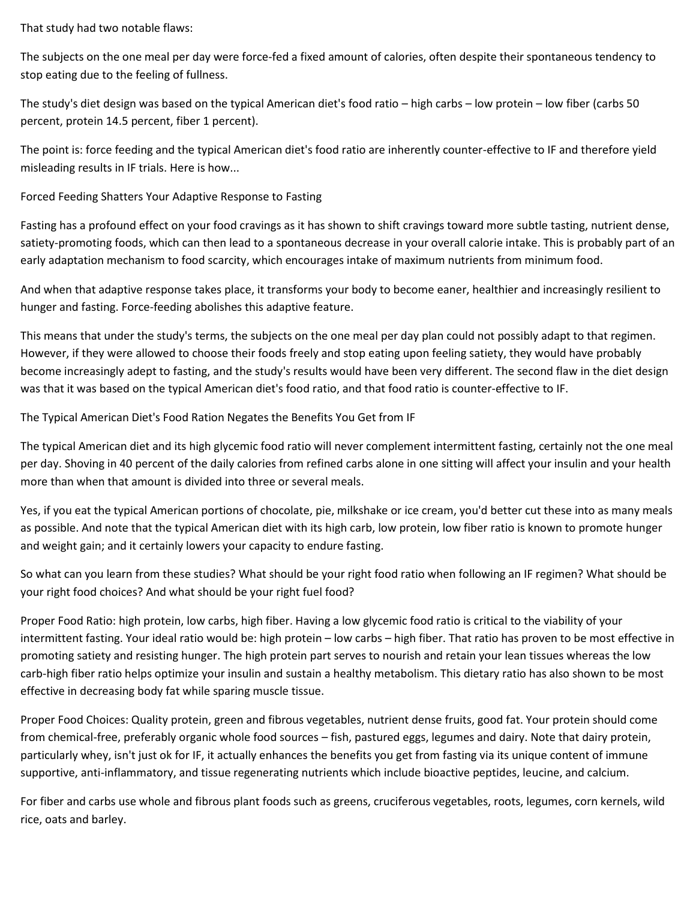That study had two notable flaws:

The subjects on the one meal per day were force-fed a fixed amount of calories, often despite their spontaneous tendency to stop eating due to the feeling of fullness.

The study's diet design was based on the typical American diet's food ratio – high carbs – low protein – low fiber (carbs 50 percent, protein 14.5 percent, fiber 1 percent).

The point is: force feeding and the typical American diet's food ratio are inherently counter-effective to IF and therefore yield misleading results in IF trials. Here is how...

Forced Feeding Shatters Your Adaptive Response to Fasting

Fasting has a profound effect on your food cravings as it has shown to shift cravings toward more subtle tasting, nutrient dense, satiety-promoting foods, which can then lead to a spontaneous decrease in your overall calorie intake. This is probably part of an early adaptation mechanism to food scarcity, which encourages intake of maximum nutrients from minimum food.

And when that adaptive response takes place, it transforms your body to become eaner, healthier and increasingly resilient to hunger and fasting. Force-feeding abolishes this adaptive feature.

This means that under the study's terms, the subjects on the one meal per day plan could not possibly adapt to that regimen. However, if they were allowed to choose their foods freely and stop eating upon feeling satiety, they would have probably become increasingly adept to fasting, and the study's results would have been very different. The second flaw in the diet design was that it was based on the typical American diet's food ratio, and that food ratio is counter-effective to IF.

The Typical American Diet's Food Ration Negates the Benefits You Get from IF

The typical American diet and its high glycemic food ratio will never complement intermittent fasting, certainly not the one meal per day. Shoving in 40 percent of the daily calories from refined carbs alone in one sitting will affect your insulin and your health more than when that amount is divided into three or several meals.

Yes, if you eat the typical American portions of chocolate, pie, milkshake or ice cream, you'd better cut these into as many meals as possible. And note that the typical American diet with its high carb, low protein, low fiber ratio is known to promote hunger and weight gain; and it certainly lowers your capacity to endure fasting.

So what can you learn from these studies? What should be your right food ratio when following an IF regimen? What should be your right food choices? And what should be your right fuel food?

Proper Food Ratio: high protein, low carbs, high fiber. Having a low glycemic food ratio is critical to the viability of your intermittent fasting. Your ideal ratio would be: high protein – low carbs – high fiber. That ratio has proven to be most effective in promoting satiety and resisting hunger. The high protein part serves to nourish and retain your lean tissues whereas the low carb-high fiber ratio helps optimize your insulin and sustain a healthy metabolism. This dietary ratio has also shown to be most effective in decreasing body fat while sparing muscle tissue.

Proper Food Choices: Quality protein, green and fibrous vegetables, nutrient dense fruits, good fat. Your protein should come from chemical-free, preferably organic whole food sources – fish, pastured eggs, legumes and dairy. Note that dairy protein, particularly whey, isn't just ok for IF, it actually enhances the benefits you get from fasting via its unique content of immune supportive, anti-inflammatory, and tissue regenerating nutrients which include bioactive peptides, leucine, and calcium.

For fiber and carbs use whole and fibrous plant foods such as greens, cruciferous vegetables, roots, legumes, corn kernels, wild rice, oats and barley.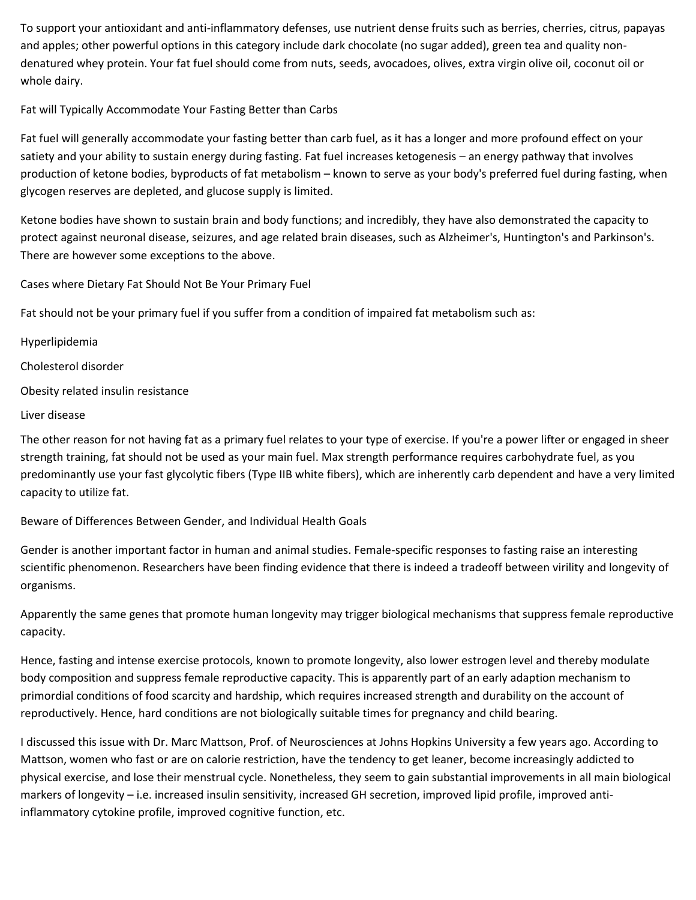To support your antioxidant and anti-inflammatory defenses, use nutrient dense fruits such as berries, cherries, citrus, papayas and apples; other powerful options in this category include dark chocolate (no sugar added), green tea and quality nondenatured whey protein. Your fat fuel should come from nuts, seeds, avocadoes, olives, extra virgin olive oil, coconut oil or whole dairy.

Fat will Typically Accommodate Your Fasting Better than Carbs

Fat fuel will generally accommodate your fasting better than carb fuel, as it has a longer and more profound effect on your satiety and your ability to sustain energy during fasting. Fat fuel increases ketogenesis – an energy pathway that involves production of ketone bodies, byproducts of fat metabolism – known to serve as your body's preferred fuel during fasting, when glycogen reserves are depleted, and glucose supply is limited.

Ketone bodies have shown to sustain brain and body functions; and incredibly, they have also demonstrated the capacity to protect against neuronal disease, seizures, and age related brain diseases, such as Alzheimer's, Huntington's and Parkinson's. There are however some exceptions to the above.

Cases where Dietary Fat Should Not Be Your Primary Fuel

Fat should not be your primary fuel if you suffer from a condition of impaired fat metabolism such as:

Hyperlipidemia

Cholesterol disorder

Obesity related insulin resistance

Liver disease

The other reason for not having fat as a primary fuel relates to your type of exercise. If you're a power lifter or engaged in sheer strength training, fat should not be used as your main fuel. Max strength performance requires carbohydrate fuel, as you predominantly use your fast glycolytic fibers (Type IIB white fibers), which are inherently carb dependent and have a very limited capacity to utilize fat.

Beware of Differences Between Gender, and Individual Health Goals

Gender is another important factor in human and animal studies. Female-specific responses to fasting raise an interesting scientific phenomenon. Researchers have been finding evidence that there is indeed a tradeoff between virility and longevity of organisms.

Apparently the same genes that promote human longevity may trigger biological mechanisms that suppress female reproductive capacity.

Hence, fasting and intense exercise protocols, known to promote longevity, also lower estrogen level and thereby modulate body composition and suppress female reproductive capacity. This is apparently part of an early adaption mechanism to primordial conditions of food scarcity and hardship, which requires increased strength and durability on the account of reproductively. Hence, hard conditions are not biologically suitable times for pregnancy and child bearing.

I discussed this issue with Dr. Marc Mattson, Prof. of Neurosciences at Johns Hopkins University a few years ago. According to Mattson, women who fast or are on calorie restriction, have the tendency to get leaner, become increasingly addicted to physical exercise, and lose their menstrual cycle. Nonetheless, they seem to gain substantial improvements in all main biological markers of longevity – i.e. increased insulin sensitivity, increased GH secretion, improved lipid profile, improved antiinflammatory cytokine profile, improved cognitive function, etc.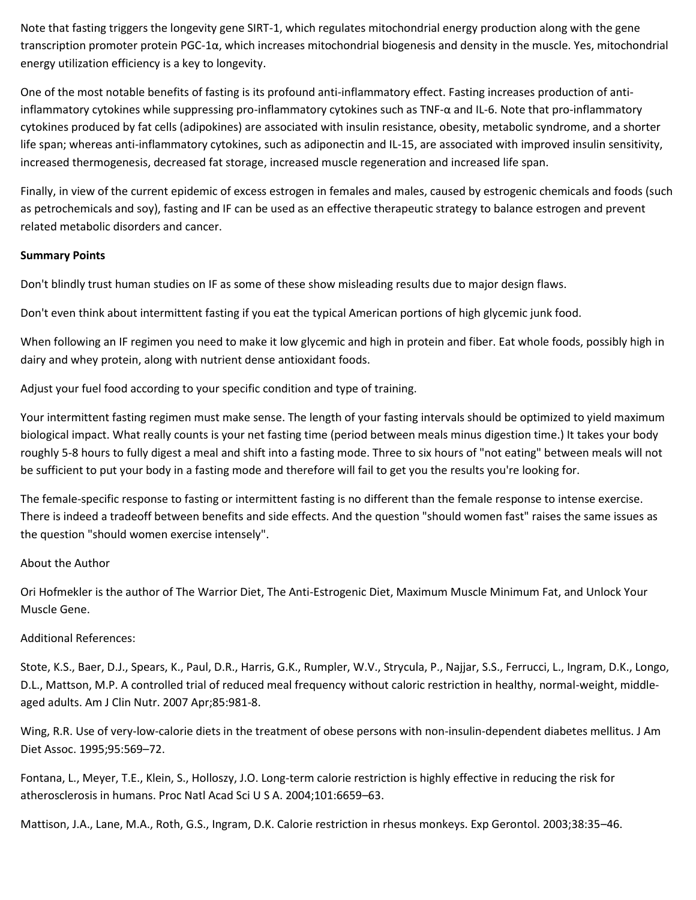Note that fasting triggers the longevity gene SIRT-1, which regulates mitochondrial energy production along with the gene transcription promoter protein PGC-1α, which increases mitochondrial biogenesis and density in the muscle. Yes, mitochondrial energy utilization efficiency is a key to longevity.

One of the most notable benefits of fasting is its profound anti-inflammatory effect. Fasting increases production of antiinflammatory cytokines while suppressing pro-inflammatory cytokines such as TNF-α and IL-6. Note that pro-inflammatory cytokines produced by fat cells (adipokines) are associated with insulin resistance, obesity, metabolic syndrome, and a shorter life span; whereas anti-inflammatory cytokines, such as adiponectin and IL-15, are associated with improved insulin sensitivity, increased thermogenesis, decreased fat storage, increased muscle regeneration and increased life span.

Finally, in view of the current epidemic of excess estrogen in females and males, caused by estrogenic chemicals and foods (such as petrochemicals and soy), fasting and IF can be used as an effective therapeutic strategy to balance estrogen and prevent related metabolic disorders and cancer.

## **Summary Points**

Don't blindly trust human studies on IF as some of these show misleading results due to major design flaws.

Don't even think about intermittent fasting if you eat the typical American portions of high glycemic junk food.

When following an IF regimen you need to make it low glycemic and high in protein and fiber. Eat whole foods, possibly high in dairy and whey protein, along with nutrient dense antioxidant foods.

Adjust your fuel food according to your specific condition and type of training.

Your intermittent fasting regimen must make sense. The length of your fasting intervals should be optimized to yield maximum biological impact. What really counts is your net fasting time (period between meals minus digestion time.) It takes your body roughly 5-8 hours to fully digest a meal and shift into a fasting mode. Three to six hours of "not eating" between meals will not be sufficient to put your body in a fasting mode and therefore will fail to get you the results you're looking for.

The female-specific response to fasting or intermittent fasting is no different than the female response to intense exercise. There is indeed a tradeoff between benefits and side effects. And the question "should women fast" raises the same issues as the question "should women exercise intensely".

### About the Author

Ori Hofmekler is the author o[f The Warrior Diet,](http://www.amazon.com/exec/obidos/ASIN/1583942009/optimalwellnessc) [The Anti-Estrogenic Diet,](http://www.amazon.com/exec/obidos/ASIN/155643684X/optimalwellnessc) [Maximum Muscle Minimum Fat,](http://www.amazon.com/Maximum-Muscle-Minimum-Fat-Transformation/dp/1556436890/ref=sr_1_1?ie=UTF8&qid=1345229289&sr=8-1&keywords=Maximum+Muscle+Minimum+Fat) an[d Unlock Your](http://www.amazon.com/Unlock-Your-Muscle-Gene-Biological/dp/1583943099/ref=sr_1_1?ie=UTF8&qid=1345039671&sr=8-1&keywords=unlocking+the+muscle+gene)  [Muscle Gene.](http://www.amazon.com/Unlock-Your-Muscle-Gene-Biological/dp/1583943099/ref=sr_1_1?ie=UTF8&qid=1345039671&sr=8-1&keywords=unlocking+the+muscle+gene)

### Additional References:

Stote, K.S., Baer, D.J., Spears, K., Paul, D.R., Harris, G.K., Rumpler, W.V., Strycula, P., Najjar, S.S., Ferrucci, L., Ingram, D.K., Longo, D.L., Mattson, M.P. A controlled trial of reduced meal frequency without caloric restriction in healthy, normal-weight, middleaged adults. Am J Clin Nutr. 2007 Apr;85:981-8.

Wing, R.R. Use of very-low-calorie diets in the treatment of obese persons with non-insulin-dependent diabetes mellitus. J Am Diet Assoc. 1995;95:569–72.

Fontana, L., Meyer, T.E., Klein, S., Holloszy, J.O. Long-term calorie restriction is highly effective in reducing the risk for atherosclerosis in humans. Proc Natl Acad Sci U S A. 2004;101:6659–63.

Mattison, J.A., Lane, M.A., Roth, G.S., Ingram, D.K. Calorie restriction in rhesus monkeys. Exp Gerontol. 2003;38:35–46.